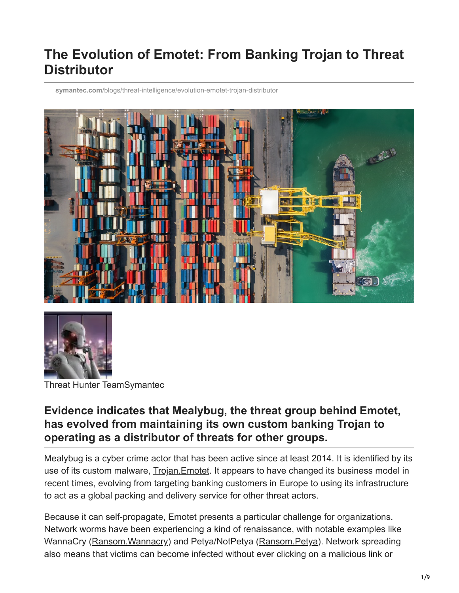# **The Evolution of Emotet: From Banking Trojan to Threat Distributor**

**symantec.com**[/blogs/threat-intelligence/evolution-emotet-trojan-distributor](https://www.symantec.com/blogs/threat-intelligence/evolution-emotet-trojan-distributor)





Threat Hunter TeamSymantec

### **Evidence indicates that Mealybug, the threat group behind Emotet, has evolved from maintaining its own custom banking Trojan to operating as a distributor of threats for other groups.**

Mealybug is a cyber crime actor that has been active since at least 2014. It is identified by its use of its custom malware, [Trojan.Emotet](https://www.symantec.com/security-center/writeup/2017-071312-0253-99). It appears to have changed its business model in recent times, evolving from targeting banking customers in Europe to using its infrastructure to act as a global packing and delivery service for other threat actors.

Because it can self-propagate, Emotet presents a particular challenge for organizations. Network worms have been experiencing a kind of renaissance, with notable examples like WannaCry (Ransom. Wannacry) and Petya/NotPetya (Ransom. Petya). Network spreading also means that victims can become infected without ever clicking on a malicious link or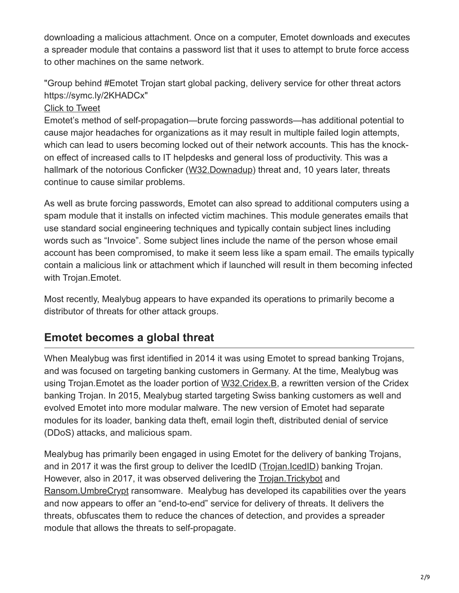downloading a malicious attachment. Once on a computer, Emotet downloads and executes a spreader module that contains a password list that it uses to attempt to brute force access to other machines on the same network.

"Group behind #Emotet Trojan start global packing, delivery service for other threat actors https://symc.ly/2KHADCx"

### [Click to Tweet](https://twitter.com/intent/tweet?text=Group%20behind%20%23Emotet%20Trojan%20start%20global%20packing,%20delivery%20service%20for%20other%20threat%20actors%20https://symc.ly/2KHADCx&via=threatintel&hashtags=undefined)

Emotet's method of self-propagation—brute forcing passwords—has additional potential to cause major headaches for organizations as it may result in multiple failed login attempts, which can lead to users becoming locked out of their network accounts. This has the knockon effect of increased calls to IT helpdesks and general loss of productivity. This was a hallmark of the notorious Conficker ([W32.Downadup\)](https://www.symantec.com/security-center/writeup/2008-112203-2408-99) threat and, 10 years later, threats continue to cause similar problems.

As well as brute forcing passwords, Emotet can also spread to additional computers using a spam module that it installs on infected victim machines. This module generates emails that use standard social engineering techniques and typically contain subject lines including words such as "Invoice". Some subject lines include the name of the person whose email account has been compromised, to make it seem less like a spam email. The emails typically contain a malicious link or attachment which if launched will result in them becoming infected with Trojan.Emotet.

Most recently, Mealybug appears to have expanded its operations to primarily become a distributor of threats for other attack groups.

## **Emotet becomes a global threat**

When Mealybug was first identified in 2014 it was using Emotet to spread banking Trojans, and was focused on targeting banking customers in Germany. At the time, Mealybug was using Trojan.Emotet as the loader portion of [W32.Cridex.B](https://www.symantec.com/security-center/writeup/2014-062313-0453-99), a rewritten version of the Cridex banking Trojan. In 2015, Mealybug started targeting Swiss banking customers as well and evolved Emotet into more modular malware. The new version of Emotet had separate modules for its loader, banking data theft, email login theft, distributed denial of service (DDoS) attacks, and malicious spam.

Mealybug has primarily been engaged in using Emotet for the delivery of banking Trojans, and in 2017 it was the first group to deliver the IcedID ([Trojan.IcedID\)](https://www.symantec.com/security-center/writeup/2018-041715-3639-99) banking Trojan. However, also in 2017, it was observed delivering the [Trojan.Trickybot](https://www.symantec.com/security-center/writeup/2016-101811-2408-99) and [Ransom.UmbreCrypt](https://www.symantec.com/security-center/writeup/2016-021519-3303-99) ransomware. Mealybug has developed its capabilities over the years and now appears to offer an "end-to-end" service for delivery of threats. It delivers the threats, obfuscates them to reduce the chances of detection, and provides a spreader module that allows the threats to self-propagate.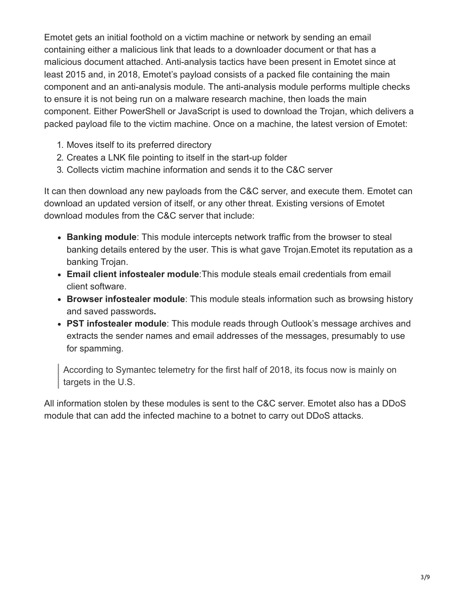Emotet gets an initial foothold on a victim machine or network by sending an email containing either a malicious link that leads to a downloader document or that has a malicious document attached. Anti-analysis tactics have been present in Emotet since at least 2015 and, in 2018, Emotet's payload consists of a packed file containing the main component and an anti-analysis module. The anti-analysis module performs multiple checks to ensure it is not being run on a malware research machine, then loads the main component. Either PowerShell or JavaScript is used to download the Trojan, which delivers a packed payload file to the victim machine. Once on a machine, the latest version of Emotet:

- 1. Moves itself to its preferred directory
- 2. Creates a LNK file pointing to itself in the start-up folder
- 3. Collects victim machine information and sends it to the C&C server

It can then download any new payloads from the C&C server, and execute them. Emotet can download an updated version of itself, or any other threat. Existing versions of Emotet download modules from the C&C server that include:

- **Banking module**: This module intercepts network traffic from the browser to steal banking details entered by the user. This is what gave Trojan.Emotet its reputation as a banking Trojan.
- **Email client infostealer module**:This module steals email credentials from email client software.
- **Browser infostealer module**: This module steals information such as browsing history and saved passwords**.**
- **PST infostealer module**: This module reads through Outlook's message archives and extracts the sender names and email addresses of the messages, presumably to use for spamming.

According to Symantec telemetry for the first half of 2018, its focus now is mainly on targets in the U.S.

All information stolen by these modules is sent to the C&C server. Emotet also has a DDoS module that can add the infected machine to a botnet to carry out DDoS attacks.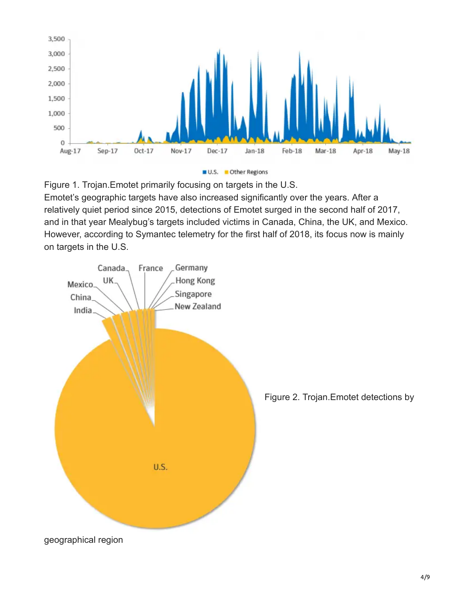



Figure 1. Trojan.Emotet primarily focusing on targets in the U.S. Emotet's geographic targets have also increased significantly over the years. After a relatively quiet period since 2015, detections of Emotet surged in the second half of 2017, and in that year Mealybug's targets included victims in Canada, China, the UK, and Mexico. However, according to Symantec telemetry for the first half of 2018, its focus now is mainly on targets in the U.S.

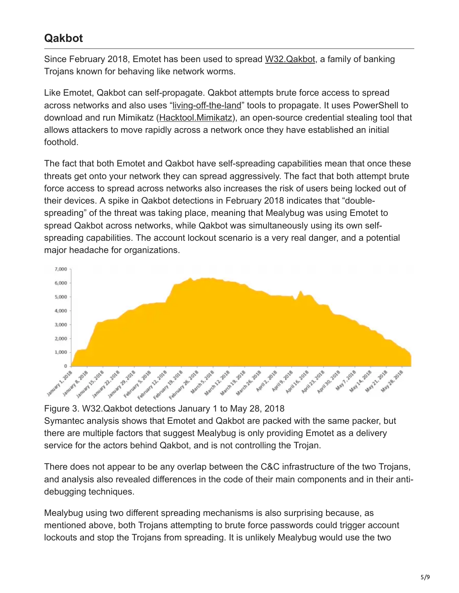## **Qakbot**

Since February 2018, Emotet has been used to spread [W32.Qakbot,](https://www.symantec.com/security-center/writeup/2009-050707-0639-99) a family of banking Trojans known for behaving like network worms.

Like Emotet, Qakbot can self-propagate. Qakbot attempts brute force access to spread across networks and also uses ["living-off-the-land](https://www.symantec.com/connect/blogs/attackers-are-increasingly-living-land)" tools to propagate. It uses PowerShell to download and run Mimikatz [\(Hacktool.Mimikatz\)](https://www.symantec.com/security-center/writeup/2012-042615-3731-99), an open-source credential stealing tool that allows attackers to move rapidly across a network once they have established an initial foothold.

The fact that both Emotet and Qakbot have self-spreading capabilities mean that once these threats get onto your network they can spread aggressively. The fact that both attempt brute force access to spread across networks also increases the risk of users being locked out of their devices. A spike in Qakbot detections in February 2018 indicates that "doublespreading" of the threat was taking place, meaning that Mealybug was using Emotet to spread Qakbot across networks, while Qakbot was simultaneously using its own selfspreading capabilities. The account lockout scenario is a very real danger, and a potential major headache for organizations.



Figure 3. W32.Qakbot detections January 1 to May 28, 2018 Symantec analysis shows that Emotet and Qakbot are packed with the same packer, but there are multiple factors that suggest Mealybug is only providing Emotet as a delivery service for the actors behind Qakbot, and is not controlling the Trojan.

There does not appear to be any overlap between the C&C infrastructure of the two Trojans, and analysis also revealed differences in the code of their main components and in their antidebugging techniques.

Mealybug using two different spreading mechanisms is also surprising because, as mentioned above, both Trojans attempting to brute force passwords could trigger account lockouts and stop the Trojans from spreading. It is unlikely Mealybug would use the two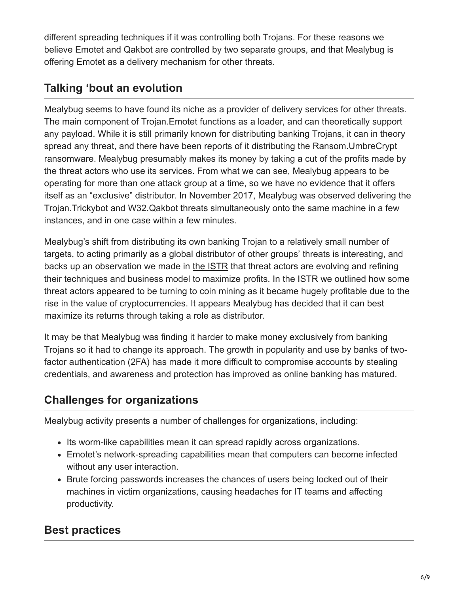different spreading techniques if it was controlling both Trojans. For these reasons we believe Emotet and Qakbot are controlled by two separate groups, and that Mealybug is offering Emotet as a delivery mechanism for other threats.

## **Talking 'bout an evolution**

Mealybug seems to have found its niche as a provider of delivery services for other threats. The main component of Trojan.Emotet functions as a loader, and can theoretically support any payload. While it is still primarily known for distributing banking Trojans, it can in theory spread any threat, and there have been reports of it distributing the Ransom.UmbreCrypt ransomware. Mealybug presumably makes its money by taking a cut of the profits made by the threat actors who use its services. From what we can see, Mealybug appears to be operating for more than one attack group at a time, so we have no evidence that it offers itself as an "exclusive" distributor. In November 2017, Mealybug was observed delivering the Trojan.Trickybot and W32.Qakbot threats simultaneously onto the same machine in a few instances, and in one case within a few minutes.

Mealybug's shift from distributing its own banking Trojan to a relatively small number of targets, to acting primarily as a global distributor of other groups' threats is interesting, and backs up an observation we made in [the ISTR](http://go.symantec.com/istr) that threat actors are evolving and refining their techniques and business model to maximize profits. In the ISTR we outlined how some threat actors appeared to be turning to coin mining as it became hugely profitable due to the rise in the value of cryptocurrencies. It appears Mealybug has decided that it can best maximize its returns through taking a role as distributor.

It may be that Mealybug was finding it harder to make money exclusively from banking Trojans so it had to change its approach. The growth in popularity and use by banks of twofactor authentication (2FA) has made it more difficult to compromise accounts by stealing credentials, and awareness and protection has improved as online banking has matured.

## **Challenges for organizations**

Mealybug activity presents a number of challenges for organizations, including:

- Its worm-like capabilities mean it can spread rapidly across organizations.
- Emotet's network-spreading capabilities mean that computers can become infected without any user interaction.
- Brute forcing passwords increases the chances of users being locked out of their machines in victim organizations, causing headaches for IT teams and affecting productivity.

## **Best practices**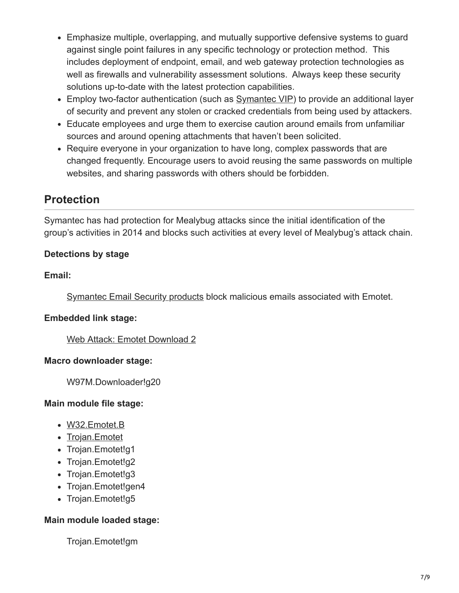- Emphasize multiple, overlapping, and mutually supportive defensive systems to guard against single point failures in any specific technology or protection method. This includes deployment of endpoint, email, and web gateway protection technologies as well as firewalls and vulnerability assessment solutions. Always keep these security solutions up-to-date with the latest protection capabilities.
- Employ two-factor authentication (such as [Symantec VIP\)](https://vip.symantec.com/) to provide an additional layer of security and prevent any stolen or cracked credentials from being used by attackers.
- Educate employees and urge them to exercise caution around emails from unfamiliar sources and around opening attachments that haven't been solicited.
- Require everyone in your organization to have long, complex passwords that are changed frequently. Encourage users to avoid reusing the same passwords on multiple websites, and sharing passwords with others should be forbidden.

### **Protection**

Symantec has had protection for Mealybug attacks since the initial identification of the group's activities in 2014 and blocks such activities at every level of Mealybug's attack chain.

#### **Detections by stage**

#### **Email:**

[Symantec Email Security products](https://www.symantec.com/products/email-security-cloud) block malicious emails associated with Emotet.

#### **Embedded link stage:**

[Web Attack: Emotet Download 2](https://www.symantec.com/security_response/attacksignatures/detail.jsp?asid=30546)

#### **Macro downloader stage:**

W97M.Downloader!g20

#### **Main module file stage:**

- [W32.Emotet.B](https://www.symantec.com/security-center/writeup/2017-080307-1748-99)
- [Trojan.Emotet](https://www.symantec.com/security-center/writeup/2017-071312-0253-99)
- Trojan.Emotet!g1
- Trojan.Emotet!g2
- Trojan.Emotet!g3
- Trojan.Emotet!gen4
- Trojan.Emotet!g5

#### **Main module loaded stage:**

Trojan.Emotet!gm